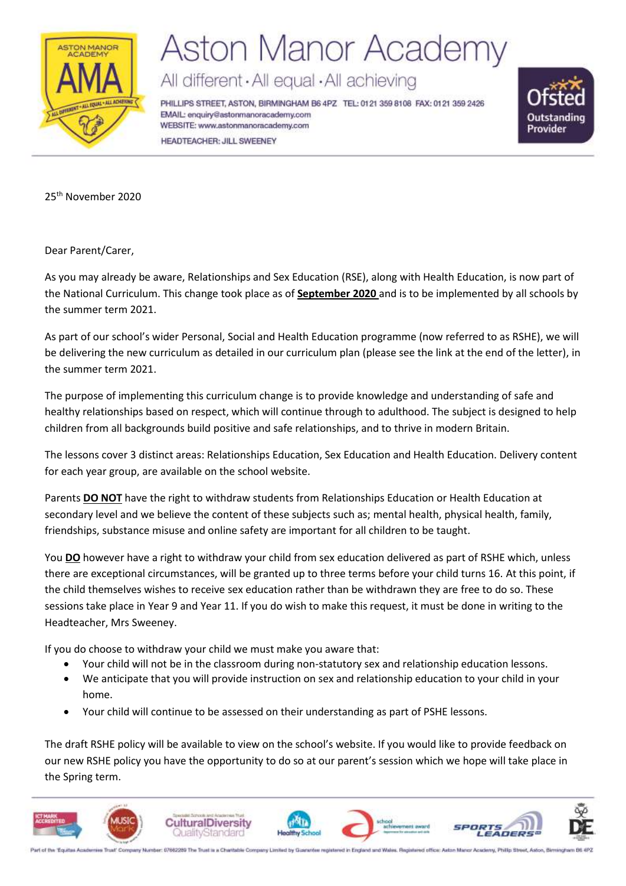

## **Aston Manor Academy**

All different · All equal · All achieving

PHILLIPS STREET, ASTON, BIRMINGHAM B6 4PZ TEL: 0121 359 8108 FAX: 0121 359 2426 EMAIL: enquiry@astonmanoracademy.com WEBSITE: www.astonmanoracademy.com HEADTEACHER: JILL SWEENEY



25<sup>th</sup> November 2020

Dear Parent/Carer,

As you may already be aware, Relationships and Sex Education (RSE), along with Health Education, is now part of the National Curriculum. This change took place as of **September 2020** and is to be implemented by all schools by the summer term 2021.

As part of our school's wider Personal, Social and Health Education programme (now referred to as RSHE), we will be delivering the new curriculum as detailed in our curriculum plan (please see the link at the end of the letter), in the summer term 2021.

The purpose of implementing this curriculum change is to provide knowledge and understanding of safe and healthy relationships based on respect, which will continue through to adulthood. The subject is designed to help children from all backgrounds build positive and safe relationships, and to thrive in modern Britain.

The lessons cover 3 distinct areas: Relationships Education, Sex Education and Health Education. Delivery content for each year group, are available on the school website.

Parents **DO NOT** have the right to withdraw students from Relationships Education or Health Education at secondary level and we believe the content of these subjects such as; mental health, physical health, family, friendships, substance misuse and online safety are important for all children to be taught.

You **DO** however have a right to withdraw your child from sex education delivered as part of RSHE which, unless there are exceptional circumstances, will be granted up to three terms before your child turns 16. At this point, if the child themselves wishes to receive sex education rather than be withdrawn they are free to do so. These sessions take place in Year 9 and Year 11. If you do wish to make this request, it must be done in writing to the Headteacher, Mrs Sweeney.

If you do choose to withdraw your child we must make you aware that:

- Your child will not be in the classroom during non-statutory sex and relationship education lessons.
- We anticipate that you will provide instruction on sex and relationship education to your child in your home.
- Your child will continue to be assessed on their understanding as part of PSHE lessons.

The draft RSHE policy will be available to view on the school's website. If you would like to provide feedback on our new RSHE policy you have the opportunity to do so at our parent's session which we hope will take place in the Spring term.